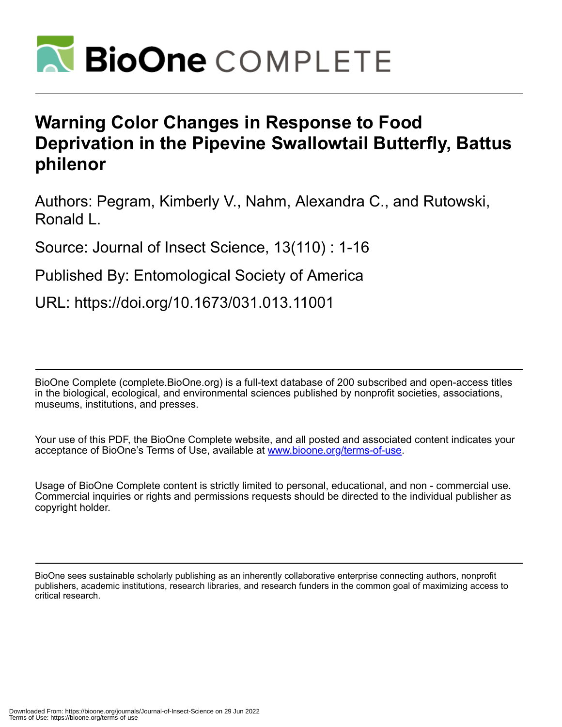

# **Warning Color Changes in Response to Food Deprivation in the Pipevine Swallowtail Butterfly, Battus philenor**

Authors: Pegram, Kimberly V., Nahm, Alexandra C., and Rutowski, Ronald L.

Source: Journal of Insect Science, 13(110) : 1-16

Published By: Entomological Society of America

URL: https://doi.org/10.1673/031.013.11001

BioOne Complete (complete.BioOne.org) is a full-text database of 200 subscribed and open-access titles in the biological, ecological, and environmental sciences published by nonprofit societies, associations, museums, institutions, and presses.

Your use of this PDF, the BioOne Complete website, and all posted and associated content indicates your acceptance of BioOne's Terms of Use, available at www.bioone.org/terms-of-use.

Usage of BioOne Complete content is strictly limited to personal, educational, and non - commercial use. Commercial inquiries or rights and permissions requests should be directed to the individual publisher as copyright holder.

BioOne sees sustainable scholarly publishing as an inherently collaborative enterprise connecting authors, nonprofit publishers, academic institutions, research libraries, and research funders in the common goal of maximizing access to critical research.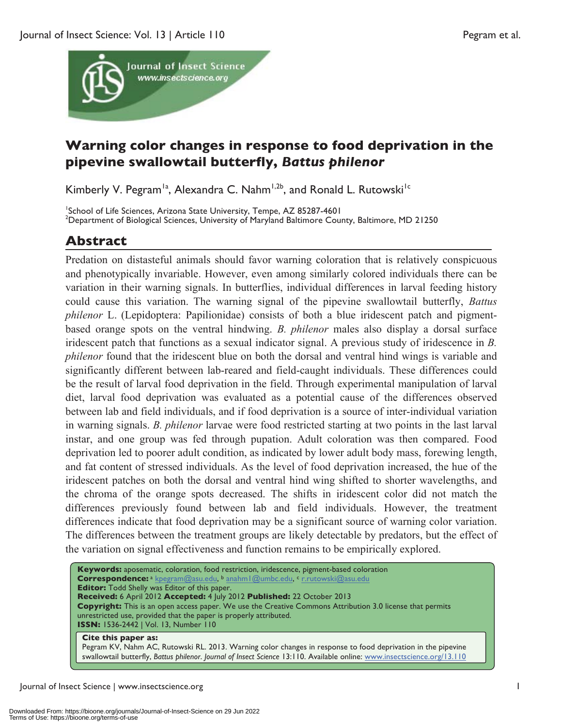

## **Warning color changes in response to food deprivation in the pipevine swallowtail butterfly,** *Battus philenor*

Kimberly V. Pegram<sup>1a</sup>, Alexandra C. Nahm<sup>1,2b</sup>, and Ronald L. Rutowski<sup>1c</sup>

<sup>1</sup>School of Life Sciences, Arizona State University, Tempe, AZ 85287-4601<br><sup>2</sup>Department of Biological Sciences, University of Maryland Beltimore Cour  $^{2}$ Department of Biological Sciences, University of Maryland Baltimore County, Baltimore, MD 21250

## **Abstract**

Predation on distasteful animals should favor warning coloration that is relatively conspicuous and phenotypically invariable. However, even among similarly colored individuals there can be variation in their warning signals. In butterflies, individual differences in larval feeding history could cause this variation. The warning signal of the pipevine swallowtail butterfly, *Battus philenor* L. (Lepidoptera: Papilionidae) consists of both a blue iridescent patch and pigmentbased orange spots on the ventral hindwing. *B. philenor* males also display a dorsal surface iridescent patch that functions as a sexual indicator signal. A previous study of iridescence in *B. philenor* found that the iridescent blue on both the dorsal and ventral hind wings is variable and significantly different between lab-reared and field-caught individuals. These differences could be the result of larval food deprivation in the field. Through experimental manipulation of larval diet, larval food deprivation was evaluated as a potential cause of the differences observed between lab and field individuals, and if food deprivation is a source of inter-individual variation in warning signals. *B. philenor* larvae were food restricted starting at two points in the last larval instar, and one group was fed through pupation. Adult coloration was then compared. Food deprivation led to poorer adult condition, as indicated by lower adult body mass, forewing length, and fat content of stressed individuals. As the level of food deprivation increased, the hue of the iridescent patches on both the dorsal and ventral hind wing shifted to shorter wavelengths, and the chroma of the orange spots decreased. The shifts in iridescent color did not match the differences previously found between lab and field individuals. However, the treatment differences indicate that food deprivation may be a significant source of warning color variation. The differences between the treatment groups are likely detectable by predators, but the effect of the variation on signal effectiveness and function remains to be empirically explored.

**Keywords:** aposematic, coloration, food restriction, iridescence, pigment-based coloration **Correspondence:** a kpegram@asu.edu, <sup>b</sup> anahm | @umbc.edu, c r.rutowski@asu.edu **Editor:** Todd Shelly was Editor of this paper. **Received:** 6 April 2012 **Accepted:** 4 July 2012 **Published:** 22 October 2013 **Copyright:** This is an open access paper. We use the Creative Commons Attribution 3.0 license that permits unrestricted use, provided that the paper is properly attributed. **ISSN:** 1536-2442 | Vol. 13, Number 110

#### **Cite this paper as:**

Pegram KV, Nahm AC, Rutowski RL. 2013. Warning color changes in response to food deprivation in the pipevine swallowtail butterfly, *Battus philenor*. *Journal of Insect Science* 13:110. Available online: www.insectscience.org/13.110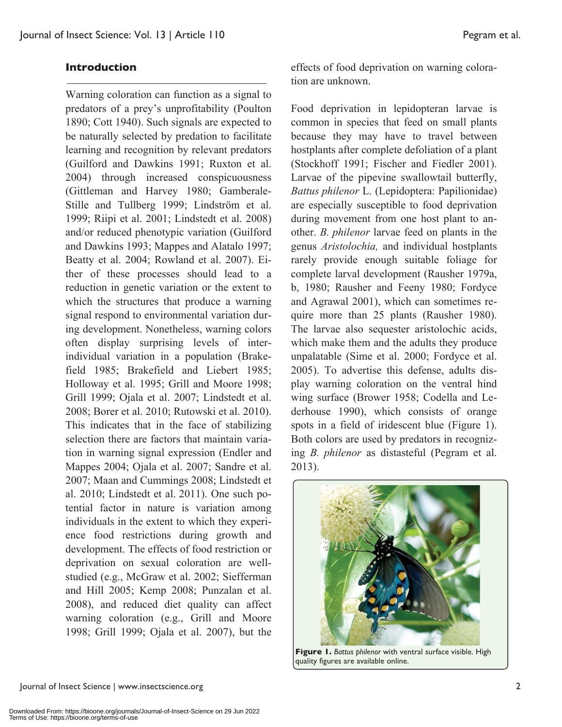#### **Introduction**

Warning coloration can function as a signal to predators of a prey's unprofitability (Poulton 1890; Cott 1940). Such signals are expected to be naturally selected by predation to facilitate learning and recognition by relevant predators (Guilford and Dawkins 1991; Ruxton et al. 2004) through increased conspicuousness (Gittleman and Harvey 1980; Gamberale-Stille and Tullberg 1999; Lindström et al. 1999; Riipi et al. 2001; Lindstedt et al. 2008) and/or reduced phenotypic variation (Guilford and Dawkins 1993; Mappes and Alatalo 1997; Beatty et al. 2004; Rowland et al. 2007). Either of these processes should lead to a reduction in genetic variation or the extent to which the structures that produce a warning signal respond to environmental variation during development. Nonetheless, warning colors often display surprising levels of interindividual variation in a population (Brakefield 1985; Brakefield and Liebert 1985; Holloway et al. 1995; Grill and Moore 1998; Grill 1999; Ojala et al. 2007; Lindstedt et al. 2008; Borer et al. 2010; Rutowski et al. 2010). This indicates that in the face of stabilizing selection there are factors that maintain variation in warning signal expression (Endler and Mappes 2004; Ojala et al. 2007; Sandre et al. 2007; Maan and Cummings 2008; Lindstedt et al. 2010; Lindstedt et al. 2011). One such potential factor in nature is variation among individuals in the extent to which they experience food restrictions during growth and development. The effects of food restriction or deprivation on sexual coloration are wellstudied (e.g., McGraw et al. 2002; Siefferman and Hill 2005; Kemp 2008; Punzalan et al. 2008), and reduced diet quality can affect warning coloration (e.g., Grill and Moore 1998; Grill 1999; Ojala et al. 2007), but the

effects of food deprivation on warning coloration are unknown.

Food deprivation in lepidopteran larvae is common in species that feed on small plants because they may have to travel between hostplants after complete defoliation of a plant (Stockhoff 1991; Fischer and Fiedler 2001). Larvae of the pipevine swallowtail butterfly, *Battus philenor* L. (Lepidoptera: Papilionidae) are especially susceptible to food deprivation during movement from one host plant to another. *B. philenor* larvae feed on plants in the genus *Aristolochia,* and individual hostplants rarely provide enough suitable foliage for complete larval development (Rausher 1979a, b, 1980; Rausher and Feeny 1980; Fordyce and Agrawal 2001), which can sometimes require more than 25 plants (Rausher 1980). The larvae also sequester aristolochic acids, which make them and the adults they produce unpalatable (Sime et al. 2000; Fordyce et al. 2005). To advertise this defense, adults display warning coloration on the ventral hind wing surface (Brower 1958; Codella and Lederhouse 1990), which consists of orange spots in a field of iridescent blue (Figure 1). Both colors are used by predators in recognizing *B. philenor* as distasteful (Pegram et al. 2013).



**Figure 1.** *Battus philenor* with ventral surface visible. High quality figures are available online.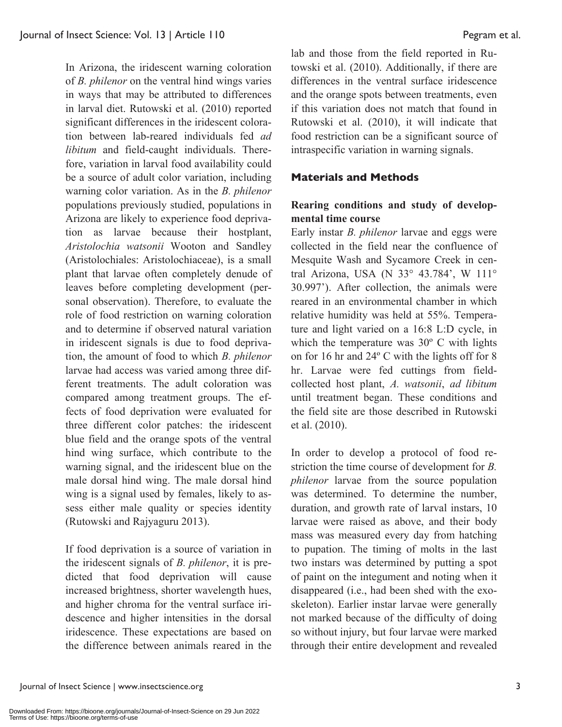In Arizona, the iridescent warning coloration of *B. philenor* on the ventral hind wings varies in ways that may be attributed to differences in larval diet. Rutowski et al. (2010) reported significant differences in the iridescent coloration between lab-reared individuals fed *ad libitum* and field-caught individuals. Therefore, variation in larval food availability could be a source of adult color variation, including warning color variation. As in the *B. philenor*  populations previously studied, populations in Arizona are likely to experience food deprivation as larvae because their hostplant, *Aristolochia watsonii* Wooton and Sandley (Aristolochiales: Aristolochiaceae), is a small plant that larvae often completely denude of leaves before completing development (personal observation). Therefore, to evaluate the role of food restriction on warning coloration and to determine if observed natural variation in iridescent signals is due to food deprivation, the amount of food to which *B. philenor* larvae had access was varied among three different treatments. The adult coloration was compared among treatment groups. The effects of food deprivation were evaluated for three different color patches: the iridescent blue field and the orange spots of the ventral hind wing surface, which contribute to the warning signal, and the iridescent blue on the male dorsal hind wing. The male dorsal hind wing is a signal used by females, likely to assess either male quality or species identity (Rutowski and Rajyaguru 2013).

If food deprivation is a source of variation in the iridescent signals of *B. philenor*, it is predicted that food deprivation will cause increased brightness, shorter wavelength hues, and higher chroma for the ventral surface iridescence and higher intensities in the dorsal iridescence. These expectations are based on the difference between animals reared in the

lab and those from the field reported in Rutowski et al. (2010). Additionally, if there are differences in the ventral surface iridescence and the orange spots between treatments, even if this variation does not match that found in Rutowski et al. (2010), it will indicate that food restriction can be a significant source of intraspecific variation in warning signals.

#### **Materials and Methods**

### **Rearing conditions and study of developmental time course**

Early instar *B. philenor* larvae and eggs were collected in the field near the confluence of Mesquite Wash and Sycamore Creek in central Arizona, USA (N 33° 43.784', W 111° 30.997'). After collection, the animals were reared in an environmental chamber in which relative humidity was held at 55%. Temperature and light varied on a 16:8 L:D cycle, in which the temperature was 30<sup>°</sup> C with lights on for 16 hr and 24º C with the lights off for 8 hr. Larvae were fed cuttings from fieldcollected host plant, *A. watsonii*, *ad libitum* until treatment began. These conditions and the field site are those described in Rutowski et al. (2010).

In order to develop a protocol of food restriction the time course of development for *B. philenor* larvae from the source population was determined. To determine the number, duration, and growth rate of larval instars, 10 larvae were raised as above, and their body mass was measured every day from hatching to pupation. The timing of molts in the last two instars was determined by putting a spot of paint on the integument and noting when it disappeared (i.e., had been shed with the exoskeleton). Earlier instar larvae were generally not marked because of the difficulty of doing so without injury, but four larvae were marked through their entire development and revealed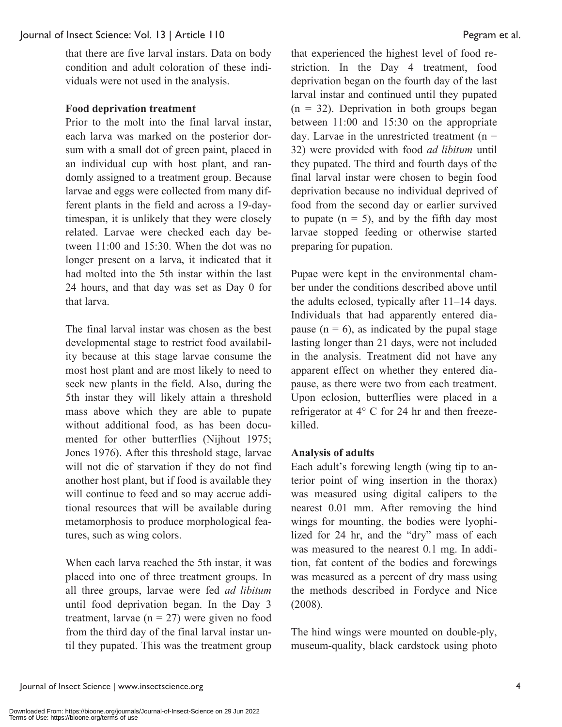that there are five larval instars. Data on body condition and adult coloration of these individuals were not used in the analysis.

#### **Food deprivation treatment**

Prior to the molt into the final larval instar, each larva was marked on the posterior dorsum with a small dot of green paint, placed in an individual cup with host plant, and randomly assigned to a treatment group. Because larvae and eggs were collected from many different plants in the field and across a 19-daytimespan, it is unlikely that they were closely related. Larvae were checked each day between 11:00 and 15:30. When the dot was no longer present on a larva, it indicated that it had molted into the 5th instar within the last 24 hours, and that day was set as Day 0 for that larva.

The final larval instar was chosen as the best developmental stage to restrict food availability because at this stage larvae consume the most host plant and are most likely to need to seek new plants in the field. Also, during the 5th instar they will likely attain a threshold mass above which they are able to pupate without additional food, as has been documented for other butterflies (Nijhout 1975; Jones 1976). After this threshold stage, larvae will not die of starvation if they do not find another host plant, but if food is available they will continue to feed and so may accrue additional resources that will be available during metamorphosis to produce morphological features, such as wing colors.

When each larva reached the 5th instar, it was placed into one of three treatment groups. In all three groups, larvae were fed *ad libitum* until food deprivation began. In the Day 3 treatment, larvae  $(n = 27)$  were given no food from the third day of the final larval instar until they pupated. This was the treatment group

that experienced the highest level of food restriction. In the Day 4 treatment, food deprivation began on the fourth day of the last larval instar and continued until they pupated  $(n = 32)$ . Deprivation in both groups began between 11:00 and 15:30 on the appropriate day. Larvae in the unrestricted treatment  $(n =$ 32) were provided with food *ad libitum* until they pupated. The third and fourth days of the final larval instar were chosen to begin food deprivation because no individual deprived of food from the second day or earlier survived to pupate  $(n = 5)$ , and by the fifth day most larvae stopped feeding or otherwise started preparing for pupation.

Pupae were kept in the environmental chamber under the conditions described above until the adults eclosed, typically after 11–14 days. Individuals that had apparently entered diapause  $(n = 6)$ , as indicated by the pupal stage lasting longer than 21 days, were not included in the analysis. Treatment did not have any apparent effect on whether they entered diapause, as there were two from each treatment. Upon eclosion, butterflies were placed in a refrigerator at 4° C for 24 hr and then freezekilled.

#### **Analysis of adults**

Each adult's forewing length (wing tip to anterior point of wing insertion in the thorax) was measured using digital calipers to the nearest 0.01 mm. After removing the hind wings for mounting, the bodies were lyophilized for 24 hr, and the "dry" mass of each was measured to the nearest 0.1 mg. In addition, fat content of the bodies and forewings was measured as a percent of dry mass using the methods described in Fordyce and Nice (2008).

The hind wings were mounted on double-ply, museum-quality, black cardstock using photo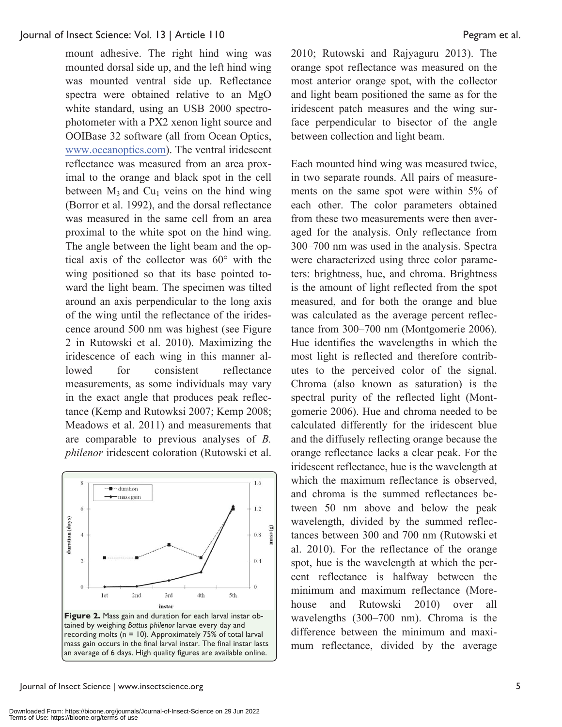mount adhesive. The right hind wing was mounted dorsal side up, and the left hind wing was mounted ventral side up. Reflectance spectra were obtained relative to an MgO white standard, using an USB 2000 spectrophotometer with a PX2 xenon light source and OOIBase 32 software (all from Ocean Optics, www.oceanoptics.com). The ventral iridescent reflectance was measured from an area proximal to the orange and black spot in the cell between  $M_3$  and Cu<sub>1</sub> veins on the hind wing (Borror et al. 1992), and the dorsal reflectance was measured in the same cell from an area proximal to the white spot on the hind wing. The angle between the light beam and the optical axis of the collector was 60° with the wing positioned so that its base pointed toward the light beam. The specimen was tilted around an axis perpendicular to the long axis of the wing until the reflectance of the iridescence around 500 nm was highest (see Figure 2 in Rutowski et al. 2010). Maximizing the iridescence of each wing in this manner allowed for consistent reflectance measurements, as some individuals may vary in the exact angle that produces peak reflectance (Kemp and Rutowksi 2007; Kemp 2008; Meadows et al. 2011) and measurements that are comparable to previous analyses of *B. philenor* iridescent coloration (Rutowski et al.



mass gain occurs in the final larval instar. The final instar lasts an average of 6 days. High quality figures are available online.

2010; Rutowski and Rajyaguru 2013). The orange spot reflectance was measured on the most anterior orange spot, with the collector and light beam positioned the same as for the iridescent patch measures and the wing surface perpendicular to bisector of the angle between collection and light beam.

Each mounted hind wing was measured twice, in two separate rounds. All pairs of measurements on the same spot were within 5% of each other. The color parameters obtained from these two measurements were then averaged for the analysis. Only reflectance from 300–700 nm was used in the analysis. Spectra were characterized using three color parameters: brightness, hue, and chroma. Brightness is the amount of light reflected from the spot measured, and for both the orange and blue was calculated as the average percent reflectance from 300–700 nm (Montgomerie 2006). Hue identifies the wavelengths in which the most light is reflected and therefore contributes to the perceived color of the signal. Chroma (also known as saturation) is the spectral purity of the reflected light (Montgomerie 2006). Hue and chroma needed to be calculated differently for the iridescent blue and the diffusely reflecting orange because the orange reflectance lacks a clear peak. For the iridescent reflectance, hue is the wavelength at which the maximum reflectance is observed, and chroma is the summed reflectances between 50 nm above and below the peak wavelength, divided by the summed reflectances between 300 and 700 nm (Rutowski et al. 2010). For the reflectance of the orange spot, hue is the wavelength at which the percent reflectance is halfway between the minimum and maximum reflectance (Morehouse and Rutowski 2010) over all wavelengths (300–700 nm). Chroma is the difference between the minimum and maximum reflectance, divided by the average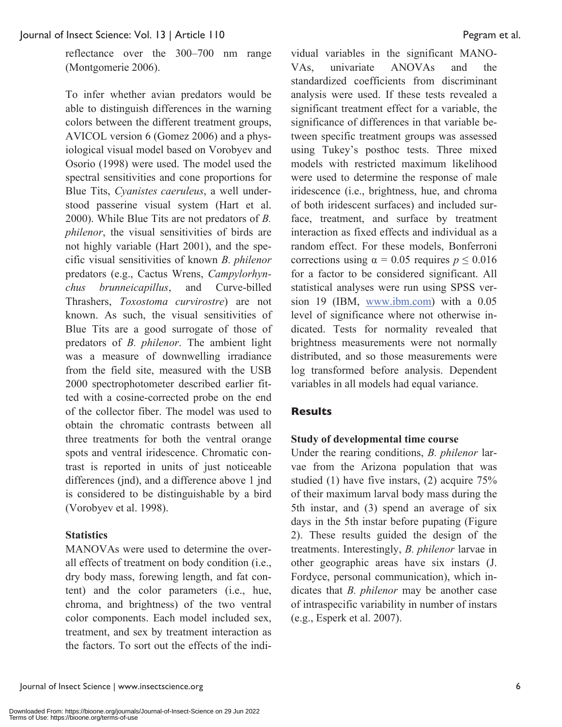reflectance over the 300–700 nm range (Montgomerie 2006).

To infer whether avian predators would be able to distinguish differences in the warning colors between the different treatment groups, AVICOL version 6 (Gomez 2006) and a physiological visual model based on Vorobyev and Osorio (1998) were used. The model used the spectral sensitivities and cone proportions for Blue Tits, *Cyanistes caeruleus*, a well understood passerine visual system (Hart et al. 2000). While Blue Tits are not predators of *B. philenor*, the visual sensitivities of birds are not highly variable (Hart 2001), and the specific visual sensitivities of known *B. philenor* predators (e.g., Cactus Wrens, *Campylorhynchus brunneicapillus*, and Curve-billed Thrashers, *Toxostoma curvirostre*) are not known. As such, the visual sensitivities of Blue Tits are a good surrogate of those of predators of *B. philenor*. The ambient light was a measure of downwelling irradiance from the field site, measured with the USB 2000 spectrophotometer described earlier fitted with a cosine-corrected probe on the end of the collector fiber. The model was used to obtain the chromatic contrasts between all three treatments for both the ventral orange spots and ventral iridescence. Chromatic contrast is reported in units of just noticeable differences (jnd), and a difference above 1 jnd is considered to be distinguishable by a bird (Vorobyev et al. 1998).

#### **Statistics**

MANOVAs were used to determine the overall effects of treatment on body condition (i.e., dry body mass, forewing length, and fat content) and the color parameters (i.e., hue, chroma, and brightness) of the two ventral color components. Each model included sex, treatment, and sex by treatment interaction as the factors. To sort out the effects of the indi-

vidual variables in the significant MANO-VAs, univariate ANOVAs and the standardized coefficients from discriminant analysis were used. If these tests revealed a significant treatment effect for a variable, the significance of differences in that variable between specific treatment groups was assessed using Tukey's posthoc tests. Three mixed models with restricted maximum likelihood were used to determine the response of male iridescence (i.e., brightness, hue, and chroma of both iridescent surfaces) and included surface, treatment, and surface by treatment interaction as fixed effects and individual as a random effect. For these models, Bonferroni corrections using  $\alpha = 0.05$  requires  $p \le 0.016$ for a factor to be considered significant. All statistical analyses were run using SPSS version 19 (IBM, www.ibm.com) with a 0.05 level of significance where not otherwise indicated. Tests for normality revealed that brightness measurements were not normally distributed, and so those measurements were log transformed before analysis. Dependent variables in all models had equal variance.

#### **Results**

#### **Study of developmental time course**

Under the rearing conditions, *B. philenor* larvae from the Arizona population that was studied (1) have five instars, (2) acquire 75% of their maximum larval body mass during the 5th instar, and (3) spend an average of six days in the 5th instar before pupating (Figure 2). These results guided the design of the treatments. Interestingly, *B. philenor* larvae in other geographic areas have six instars (J. Fordyce, personal communication), which indicates that *B. philenor* may be another case of intraspecific variability in number of instars (e.g., Esperk et al. 2007).

Journal of Insect Science | www.insectscience.org 6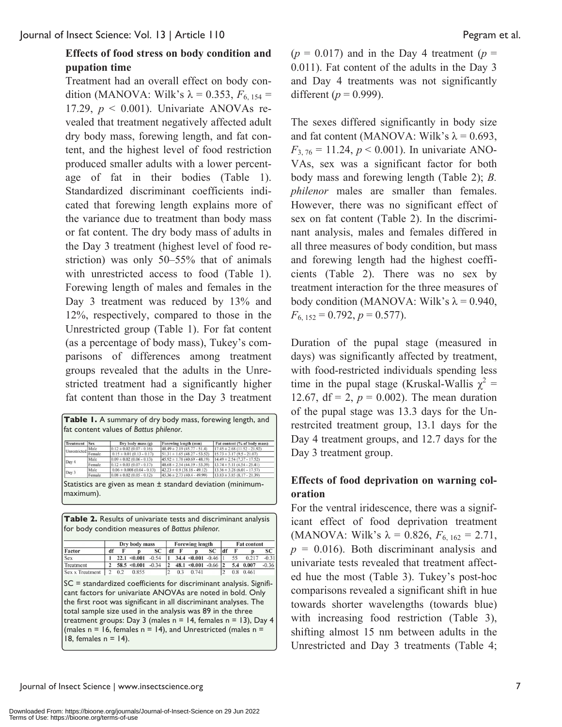#### **Effects of food stress on body condition and pupation time**

Treatment had an overall effect on body condition (MANOVA: Wilk's  $\lambda = 0.353$ ,  $F_{6, 154} =$ 17.29,  $p < 0.001$ ). Univariate ANOVAs revealed that treatment negatively affected adult dry body mass, forewing length, and fat content, and the highest level of food restriction produced smaller adults with a lower percentage of fat in their bodies (Table 1). Standardized discriminant coefficients indicated that forewing length explains more of the variance due to treatment than body mass or fat content. The dry body mass of adults in the Day 3 treatment (highest level of food restriction) was only 50–55% that of animals with unrestricted access to food (Table 1). Forewing length of males and females in the Day 3 treatment was reduced by 13% and 12%, respectively, compared to those in the Unrestricted group (Table 1). For fat content (as a percentage of body mass), Tukey's comparisons of differences among treatment groups revealed that the adults in the Unrestricted treatment had a significantly higher fat content than those in the Day 3 treatment

| <b>Treatment</b> | <b>Sex</b> | Dry body mass (g)              | Forewing length (mm)             | Fat content (% of body mass)     |
|------------------|------------|--------------------------------|----------------------------------|----------------------------------|
| Unrestricted     | Male       | $0.12 \pm 0.02$ (0.07 - 0.16)  | $48.49 \pm 2.19$ (45.77 - 51.4)  | $17.45 \pm 2.68$ (11.52 - 21.92) |
|                  | Female     | $0.15 \pm 0.01$ (0.13 - 0.17)  | $51.31 \pm 1.65$ (48.27 - 53.52) | $15.73 \pm 3.17(9.5 - 21.07)$    |
|                  | Male       | $0.09 \pm 0.02$ (0.06 - 0.13)  | $45.92 \pm 1.78$ (40.69 - 48.19) | $14.49 \pm 2.54$ (7.37 - 17.52)  |
| Day 4            | Female     | $0.12 \pm 0.03$ (0.07 - 0.17)  | $48.68 \pm 2.54(44.19 - 53.39)$  | $13.74 \pm 5.11 (4.54 - 25.41)$  |
| Day 3            | Male       | $0.06 \pm 0.008$ (0.04 - 0.13) | $42.23 \pm 0.9$ (38.18 - 49.12)  | $13.36 \pm 3.28$ (6.01 - 17.57)  |
|                  | Female     | $0.08 \pm 0.02$ (0.05 - 0.12)  | $45.36 \pm 2.73(40.4 - 49.99)$   | $13.83 \pm 3.85 (8.17 - 21.39)$  |

**Table 2.** Results of univariate tests and discriminant analysis for body condition measures of *Battus philenor.*

|                        | Dry body mass |     |                  |         | <b>Forewing length</b> |     |                             |    | <b>Fat content</b> |    |           |         |  |
|------------------------|---------------|-----|------------------|---------|------------------------|-----|-----------------------------|----|--------------------|----|-----------|---------|--|
| Factor                 | df            |     |                  | SC      |                        |     |                             | SC | df                 |    |           | SС      |  |
| <b>Sex</b>             |               |     | $22.1 \le 0.001$ | $-0.54$ |                        |     | $34.4 \le 0.001 - 0.46$   1 |    |                    | 55 | 0.217     | $-0.31$ |  |
| Treatment              |               |     | $58.5 \le 0.001$ | $-0.34$ |                        |     | $48.1 \le 0.001 - 0.66$ 2   |    |                    |    | 5.4 0.007 | $-0.36$ |  |
| <b>Sex x Treatment</b> |               | 0.2 | 0.855            |         |                        | 0.3 | 0.741                       |    |                    |    | 0.8 0.461 |         |  |

SC = standardized coefficients for discriminant analysis. Significant factors for univariate ANOVAs are noted in bold. Only the first root was significant in all discriminant analyses. The total sample size used in the analysis was 89 in the three treatment groups: Day 3 (males  $n = 14$ , females  $n = 13$ ), Day 4 (males  $n = 16$ , females  $n = 14$ ), and Unrestricted (males  $n =$ 18, females  $n = 14$ ).

 $(p = 0.017)$  and in the Day 4 treatment  $(p = 1.017)$ 0.011). Fat content of the adults in the Day 3 and Day 4 treatments was not significantly different ( $p = 0.999$ ).

The sexes differed significantly in body size and fat content (MANOVA: Wilk's  $\lambda = 0.693$ ,  $F_{3, 76} = 11.24, p < 0.001$ ). In univariate ANO-VAs, sex was a significant factor for both body mass and forewing length (Table 2); *B. philenor* males are smaller than females. However, there was no significant effect of sex on fat content (Table 2). In the discriminant analysis, males and females differed in all three measures of body condition, but mass and forewing length had the highest coefficients (Table 2). There was no sex by treatment interaction for the three measures of body condition (MANOVA: Wilk's  $\lambda$  = 0.940,  $F_{6, 152} = 0.792, p = 0.577$ .

Duration of the pupal stage (measured in days) was significantly affected by treatment, with food-restricted individuals spending less time in the pupal stage (Kruskal-Wallis  $\chi^2$  = 12.67,  $df = 2$ ,  $p = 0.002$ ). The mean duration of the pupal stage was 13.3 days for the Unrestrcited treatment group, 13.1 days for the Day 4 treatment groups, and 12.7 days for the Day 3 treatment group.

#### **Effects of food deprivation on warning coloration**

For the ventral iridescence, there was a significant effect of food deprivation treatment (MANOVA: Wilk's  $\lambda = 0.826, F_{6, 162} = 2.71$ ,  $p = 0.016$ ). Both discriminant analysis and univariate tests revealed that treatment affected hue the most (Table 3). Tukey's post-hoc comparisons revealed a significant shift in hue towards shorter wavelengths (towards blue) with increasing food restriction (Table 3), shifting almost 15 nm between adults in the Unrestricted and Day 3 treatments (Table 4;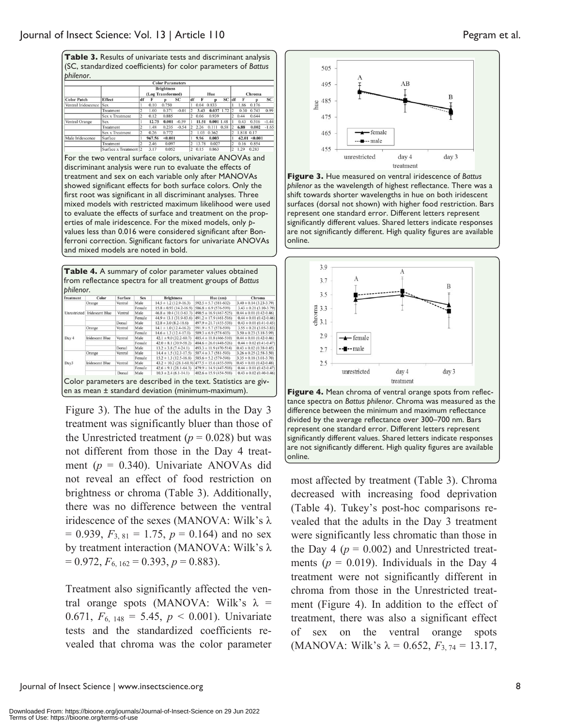| Table 3. Results of univariate tests and discriminant analysis |
|----------------------------------------------------------------|
| (SC, standardized coefficients) for color parameters of Battus |
| philenor.                                                      |

|                     |                 |                                        |        | <b>Color Parameters</b> |           |                          |       |              |      |                       |            |                   |           |
|---------------------|-----------------|----------------------------------------|--------|-------------------------|-----------|--------------------------|-------|--------------|------|-----------------------|------------|-------------------|-----------|
|                     | Effect          | <b>Brightness</b><br>(Log Transformed) |        |                         |           | Hue                      |       |              |      | Chroma                |            |                   |           |
| <b>Color Patch</b>  |                 | df                                     |        |                         | <b>SC</b> | df                       |       |              | SC   | df                    |            |                   | <b>SC</b> |
| Ventral Iridescence | <b>Sex</b>      |                                        | 0.10   | 0.750                   |           |                          | 0.04  | 0.833        |      |                       | 1.86       | 0.176             |           |
|                     | Treatment       |                                        | 1.00   | 0.371                   | $-0.01$   |                          | 3.43  | 0.037 1.72   |      |                       | 0.30       | 0.743             | 0.99      |
|                     | Sex x Treatment |                                        | 0.12   | 0.885                   |           |                          | 0.06  | 0.939        |      |                       | 0.44       | 0.644             |           |
| Ventral Orange      | Sex             |                                        | 12.75  | 0.001                   | $-0.59$   |                          | 11.51 | $0.001$ 1.48 |      |                       | 0.43       | 0.516             | $-1.44$   |
|                     | Treatment       |                                        | 1.48   | 0.235                   | $-0.54$   |                          | 2.26  | 0.111        | 0.58 |                       | 6.88       | 0.002             | $-1.65$   |
|                     | Sex x Treatment |                                        | 0.26   | 0.772                   |           |                          | 1.03  | 0.362        |      |                       | 1.818 0.17 |                   |           |
| Male Iridescence    | Surface         |                                        | 967.56 | < 0.001                 |           |                          | 9.96  | 0.003        |      |                       |            | $62.01 \le 0.001$ |           |
|                     | Treatment       |                                        | 2.46   | 0.097                   |           |                          | 13.78 | 0.027        |      |                       | 0.16       | 0.854             |           |
|                     |                 | $\overline{1}$                         | 7.17   | 0.055                   |           | $\overline{\phantom{a}}$ | 0.18  | 0.053        |      | $\tilde{\phantom{a}}$ |            | 1.30 0.303        |           |

For the two ventral surface colors, univariate ANOVAs and discriminant analysis were run to evaluate the effects of treatment and sex on each variable only after MANOVAs showed significant effects for both surface colors. Only the first root was significant in all discriminant analyses. Three mixed models with restricted maximum likelihood were used to evaluate the effects of surface and treatment on the properties of male iridescence. For the mixed models, only *p*values less than 0.016 were considered significant after Bonferroni correction. Significant factors for univariate ANOVAs and mixed models are noted in bold.

| philenor.<br><b>Treatment</b> | Color                  | <b>Surface</b> | <b>Sex</b>  | <b>Brightness</b>             | Hue (nm)                                               | Chroma                      |
|-------------------------------|------------------------|----------------|-------------|-------------------------------|--------------------------------------------------------|-----------------------------|
|                               | Orange                 | Ventral        | <b>Male</b> | $14.5 \pm 1.2$ (12.9-16.3)    | $592.5 \pm 5.7$ (581-602)                              | $3.40 \pm 0.14$ (3.23-3.79) |
| Unrestricted                  |                        |                | Female      | $15.8 \pm 0.93$ (14.2-16.9)   | $586.8 \pm 6.9$ (576-599)                              | $3.43 \pm 0.21$ (3.10-3.79) |
|                               | <b>Iridescent Blue</b> | Ventral        | Male        | $46.8 \pm 10.4$ (31.0-63.7)   | $490.5 \pm 16.9$ (467-525)                             | $0.44 \pm 0.01$ (0.42-0.46) |
|                               |                        |                | Female      | $44.9 \pm 13.1 (31.9 - 83.6)$ | $491.2 \pm 17.9$ (461-516)                             | $0.44 \pm 0.01$ (0.42-0.46) |
|                               |                        | Dorsal         | Male        | $12.8 \pm 3.0$ (8.2-18.6)     | $497.9 \pm 21.7$ (455-538)                             | $0.43 \pm 0.01$ (0.41-0.45) |
|                               | Orange                 | Ventral        | Male        | $14.1 \pm 1.0$ (12.4-16.2)    | $591.9 \pm 5.7$ (578-599)                              | $3.55 \pm 0.21$ (3.05-3.83) |
|                               |                        |                | Female      | $14.6 \pm 1.3$ (12.4-17.0)    | $589.3 \pm 6.9$ (578-603)                              | $3.50 \pm 0.23$ (3.18-3.99) |
| Day 4                         | Iridescent Blue        | Ventral        | Male        | $42.1 \pm 9.0$ (32.2-60.7)    | $485.4 \pm 11.8$ (466-510)                             | $0.44 \pm 0.01$ (0.42-0.46) |
|                               |                        |                | Female      | $42.0 \pm 8.1$ (30.9-58.2)    | $484.6 \pm 26.0$ (448-526)                             | $0.44 \pm 0.02$ (0.41-0.47) |
|                               |                        | Dorsal         | Male        | $13.2 \pm 3.8$ (7.4-24.1)     | $493.3 \pm 11.9$ (470-514)                             | $0.43 \pm 0.02$ (0.38-0.45) |
|                               | Orange                 | Ventral        | Male        | $14.4 \pm 1.5$ (12.3-17.5)    | $587.4 \pm 3.7$ (581-593)                              | $3.26 \pm 0.25$ (2.58-3.50) |
|                               |                        |                | Female      | $15.2 \pm 1.3$ (12.5-16.8)    | $585.6 \pm 5.2$ (579-598)                              | $3.35 \pm 0.18$ (3.01-3.70) |
| Day3                          | Iridescent Blue        | Ventral        | Male        |                               | $43.2 \pm 10.2$ (28.1-61.9) $477.5 \pm 15.6$ (455-509) | $0.45 \pm 0.01$ (0.42-0.48) |
|                               |                        |                | Female      | $42.6 \pm 9.1$ (28.1-64.3)    | $479.9 \pm 14.9$ (447-508)                             | $0.44 \pm 0.01$ (0.42-0.47) |
|                               |                        | Dorsal         | Male        | $10.3 \pm 2.4$ (6.1-14.1)     | $482.6 \pm 15.9$ (454-508)                             | $0.43 \pm 0.02$ (0.40-0.46) |

Figure 3). The hue of the adults in the Day 3 treatment was significantly bluer than those of the Unrestricted treatment ( $p = 0.028$ ) but was not different from those in the Day 4 treatment (*p* = 0.340). Univariate ANOVAs did not reveal an effect of food restriction on brightness or chroma (Table 3). Additionally, there was no difference between the ventral iridescence of the sexes (MANOVA: Wilk's λ  $= 0.939, F_{3, 81} = 1.75, p = 0.164$  and no sex by treatment interaction (MANOVA: Wilk's λ  $= 0.972, F_{6, 162} = 0.393, p = 0.883.$ 

Treatment also significantly affected the ventral orange spots (MANOVA: Wilk's  $\lambda$  = 0.671,  $F_{6, 148} = 5.45$ ,  $p < 0.001$ ). Univariate tests and the standardized coefficients revealed that chroma was the color parameter



**Figure 3.** Hue measured on ventral iridescence of *Battus philenor* as the wavelength of highest reflectance. There was a shift towards shorter wavelengths in hue on both iridescent surfaces (dorsal not shown) with higher food restriction. Bars represent one standard error. Different letters represent significantly different values. Shared letters indicate responses are not significantly different. High quality figures are available online.



divided by the average reflectance over 300–700 nm. Bars represent one standard error. Different letters represent significantly different values. Shared letters indicate responses are not significantly different. High quality figures are available online.

most affected by treatment (Table 3). Chroma decreased with increasing food deprivation (Table 4). Tukey's post-hoc comparisons revealed that the adults in the Day 3 treatment were significantly less chromatic than those in the Day 4 ( $p = 0.002$ ) and Unrestricted treatments ( $p = 0.019$ ). Individuals in the Day 4 treatment were not significantly different in chroma from those in the Unrestricted treatment (Figure 4). In addition to the effect of treatment, there was also a significant effect of sex on the ventral orange spots (MANOVA: Wilk's  $\lambda = 0.652$ ,  $F_{3.74} = 13.17$ ,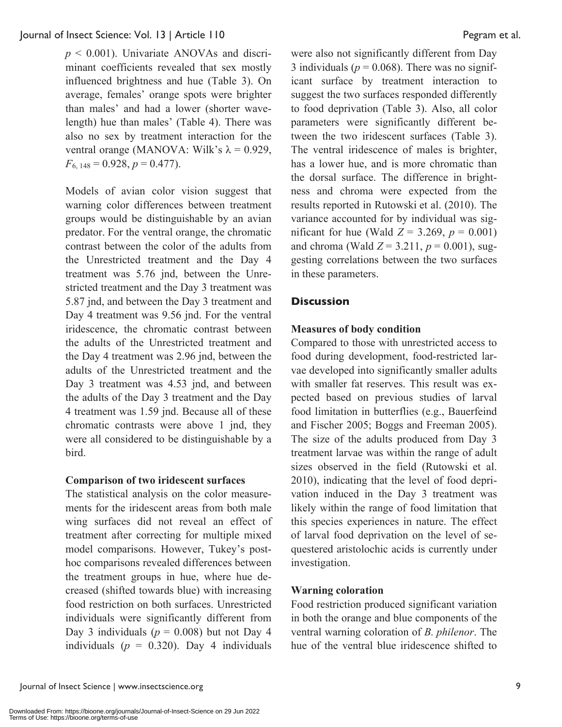*p* < 0.001). Univariate ANOVAs and discriminant coefficients revealed that sex mostly influenced brightness and hue (Table 3). On average, females' orange spots were brighter than males' and had a lower (shorter wavelength) hue than males' (Table 4). There was also no sex by treatment interaction for the ventral orange (MANOVA: Wilk's  $\lambda = 0.929$ ,  $F_{6, 148} = 0.928, p = 0.477$ .

Models of avian color vision suggest that warning color differences between treatment groups would be distinguishable by an avian predator. For the ventral orange, the chromatic contrast between the color of the adults from the Unrestricted treatment and the Day 4 treatment was 5.76 jnd, between the Unrestricted treatment and the Day 3 treatment was 5.87 jnd, and between the Day 3 treatment and Day 4 treatment was 9.56 jnd. For the ventral iridescence, the chromatic contrast between the adults of the Unrestricted treatment and the Day 4 treatment was 2.96 jnd, between the adults of the Unrestricted treatment and the Day 3 treatment was 4.53 jnd, and between the adults of the Day 3 treatment and the Day 4 treatment was 1.59 jnd. Because all of these chromatic contrasts were above 1 jnd, they were all considered to be distinguishable by a bird.

#### **Comparison of two iridescent surfaces**

The statistical analysis on the color measurements for the iridescent areas from both male wing surfaces did not reveal an effect of treatment after correcting for multiple mixed model comparisons. However, Tukey's posthoc comparisons revealed differences between the treatment groups in hue, where hue decreased (shifted towards blue) with increasing food restriction on both surfaces. Unrestricted individuals were significantly different from Day 3 individuals ( $p = 0.008$ ) but not Day 4 individuals  $(p = 0.320)$ . Day 4 individuals

were also not significantly different from Day 3 individuals ( $p = 0.068$ ). There was no significant surface by treatment interaction to suggest the two surfaces responded differently to food deprivation (Table 3). Also, all color parameters were significantly different between the two iridescent surfaces (Table 3). The ventral iridescence of males is brighter, has a lower hue, and is more chromatic than the dorsal surface. The difference in brightness and chroma were expected from the results reported in Rutowski et al. (2010). The variance accounted for by individual was significant for hue (Wald  $Z = 3.269$ ,  $p = 0.001$ ) and chroma (Wald  $Z = 3.211$ ,  $p = 0.001$ ), suggesting correlations between the two surfaces in these parameters.

#### **Discussion**

#### **Measures of body condition**

Compared to those with unrestricted access to food during development, food-restricted larvae developed into significantly smaller adults with smaller fat reserves. This result was expected based on previous studies of larval food limitation in butterflies (e.g., Bauerfeind and Fischer 2005; Boggs and Freeman 2005). The size of the adults produced from Day 3 treatment larvae was within the range of adult sizes observed in the field (Rutowski et al. 2010), indicating that the level of food deprivation induced in the Day 3 treatment was likely within the range of food limitation that this species experiences in nature. The effect of larval food deprivation on the level of sequestered aristolochic acids is currently under investigation.

#### **Warning coloration**

Food restriction produced significant variation in both the orange and blue components of the ventral warning coloration of *B. philenor*. The hue of the ventral blue iridescence shifted to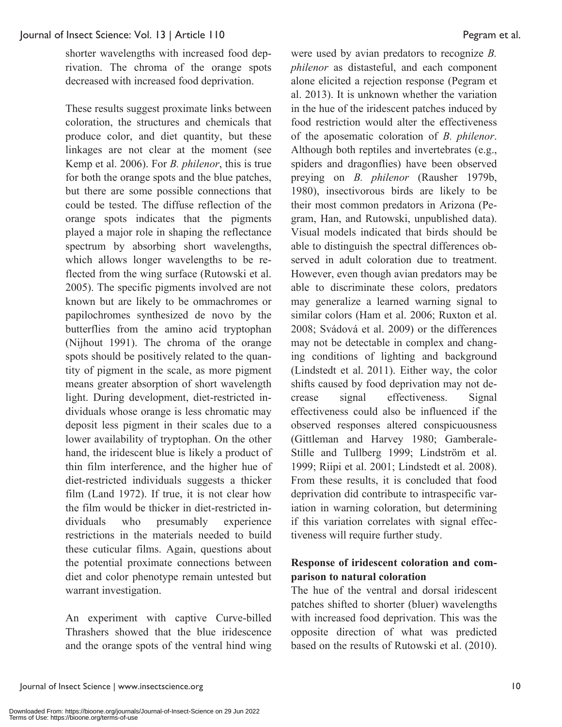shorter wavelengths with increased food deprivation. The chroma of the orange spots decreased with increased food deprivation.

These results suggest proximate links between coloration, the structures and chemicals that produce color, and diet quantity, but these linkages are not clear at the moment (see Kemp et al. 2006). For *B. philenor*, this is true for both the orange spots and the blue patches, but there are some possible connections that could be tested. The diffuse reflection of the orange spots indicates that the pigments played a major role in shaping the reflectance spectrum by absorbing short wavelengths, which allows longer wavelengths to be reflected from the wing surface (Rutowski et al. 2005). The specific pigments involved are not known but are likely to be ommachromes or papilochromes synthesized de novo by the butterflies from the amino acid tryptophan (Nijhout 1991). The chroma of the orange spots should be positively related to the quantity of pigment in the scale, as more pigment means greater absorption of short wavelength light. During development, diet-restricted individuals whose orange is less chromatic may deposit less pigment in their scales due to a lower availability of tryptophan. On the other hand, the iridescent blue is likely a product of thin film interference, and the higher hue of diet-restricted individuals suggests a thicker film (Land 1972). If true, it is not clear how the film would be thicker in diet-restricted individuals who presumably experience restrictions in the materials needed to build these cuticular films. Again, questions about the potential proximate connections between diet and color phenotype remain untested but warrant investigation.

An experiment with captive Curve-billed Thrashers showed that the blue iridescence and the orange spots of the ventral hind wing

were used by avian predators to recognize *B. philenor* as distasteful, and each component alone elicited a rejection response (Pegram et al. 2013). It is unknown whether the variation in the hue of the iridescent patches induced by food restriction would alter the effectiveness of the aposematic coloration of *B. philenor*. Although both reptiles and invertebrates (e.g., spiders and dragonflies) have been observed preying on *B. philenor* (Rausher 1979b, 1980), insectivorous birds are likely to be their most common predators in Arizona (Pegram, Han, and Rutowski, unpublished data). Visual models indicated that birds should be able to distinguish the spectral differences observed in adult coloration due to treatment. However, even though avian predators may be able to discriminate these colors, predators may generalize a learned warning signal to similar colors (Ham et al. 2006; Ruxton et al. 2008; Svádová et al. 2009) or the differences may not be detectable in complex and changing conditions of lighting and background (Lindstedt et al. 2011). Either way, the color shifts caused by food deprivation may not decrease signal effectiveness. Signal effectiveness could also be influenced if the observed responses altered conspicuousness (Gittleman and Harvey 1980; Gamberale-Stille and Tullberg 1999; Lindström et al. 1999; Riipi et al. 2001; Lindstedt et al. 2008). From these results, it is concluded that food deprivation did contribute to intraspecific variation in warning coloration, but determining if this variation correlates with signal effectiveness will require further study.

#### **Response of iridescent coloration and comparison to natural coloration**

The hue of the ventral and dorsal iridescent patches shifted to shorter (bluer) wavelengths with increased food deprivation. This was the opposite direction of what was predicted based on the results of Rutowski et al. (2010).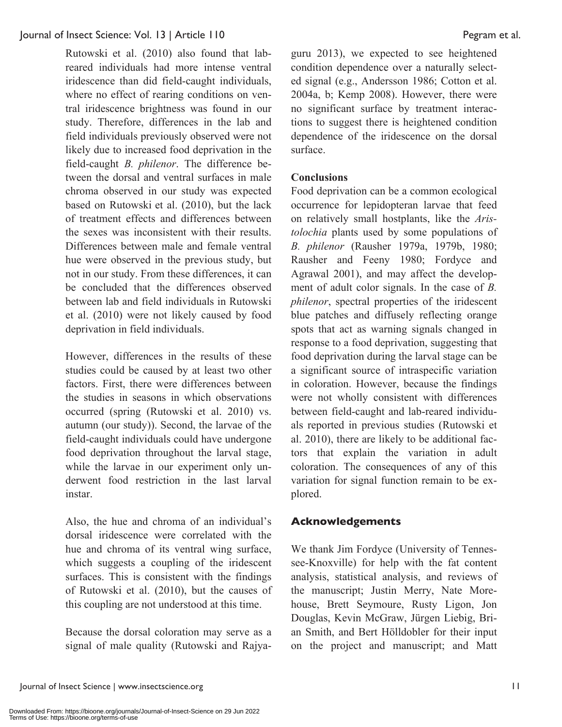Rutowski et al. (2010) also found that labreared individuals had more intense ventral iridescence than did field-caught individuals, where no effect of rearing conditions on ventral iridescence brightness was found in our study. Therefore, differences in the lab and field individuals previously observed were not likely due to increased food deprivation in the field-caught *B. philenor*. The difference between the dorsal and ventral surfaces in male chroma observed in our study was expected based on Rutowski et al. (2010), but the lack of treatment effects and differences between the sexes was inconsistent with their results. Differences between male and female ventral hue were observed in the previous study, but not in our study. From these differences, it can be concluded that the differences observed between lab and field individuals in Rutowski et al. (2010) were not likely caused by food deprivation in field individuals.

However, differences in the results of these studies could be caused by at least two other factors. First, there were differences between the studies in seasons in which observations occurred (spring (Rutowski et al. 2010) vs. autumn (our study)). Second, the larvae of the field-caught individuals could have undergone food deprivation throughout the larval stage, while the larvae in our experiment only underwent food restriction in the last larval instar.

Also, the hue and chroma of an individual's dorsal iridescence were correlated with the hue and chroma of its ventral wing surface, which suggests a coupling of the iridescent surfaces. This is consistent with the findings of Rutowski et al. (2010), but the causes of this coupling are not understood at this time.

Because the dorsal coloration may serve as a signal of male quality (Rutowski and Rajya-

guru 2013), we expected to see heightened condition dependence over a naturally selected signal (e.g., Andersson 1986; Cotton et al. 2004a, b; Kemp 2008). However, there were no significant surface by treatment interactions to suggest there is heightened condition dependence of the iridescence on the dorsal surface.

#### **Conclusions**

Food deprivation can be a common ecological occurrence for lepidopteran larvae that feed on relatively small hostplants, like the *Aristolochia* plants used by some populations of *B. philenor* (Rausher 1979a, 1979b, 1980; Rausher and Feeny 1980; Fordyce and Agrawal 2001), and may affect the development of adult color signals. In the case of *B. philenor*, spectral properties of the iridescent blue patches and diffusely reflecting orange spots that act as warning signals changed in response to a food deprivation, suggesting that food deprivation during the larval stage can be a significant source of intraspecific variation in coloration. However, because the findings were not wholly consistent with differences between field-caught and lab-reared individuals reported in previous studies (Rutowski et al. 2010), there are likely to be additional factors that explain the variation in adult coloration. The consequences of any of this variation for signal function remain to be explored.

#### **Acknowledgements**

We thank Jim Fordyce (University of Tennessee-Knoxville) for help with the fat content analysis, statistical analysis, and reviews of the manuscript; Justin Merry, Nate Morehouse, Brett Seymoure, Rusty Ligon, Jon Douglas, Kevin McGraw, Jürgen Liebig, Brian Smith, and Bert Hölldobler for their input on the project and manuscript; and Matt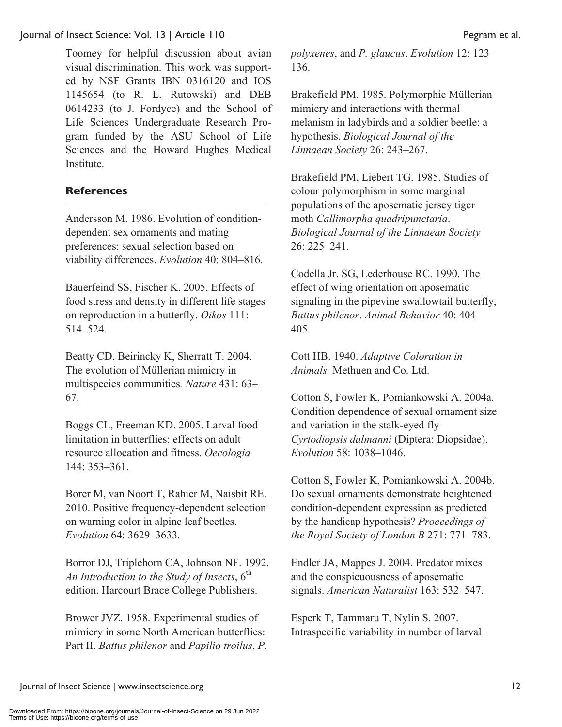Toomey for helpful discussion about avian visual discrimination. This work was supported by NSF Grants IBN 0316120 and IOS 1145654 (to R. L. Rutowski) and DEB 0614233 (to J. Fordyce) and the School of Life Sciences Undergraduate Research Program funded by the ASU School of Life Sciences and the Howard Hughes Medical Institute.

#### **References**

Andersson M. 1986. Evolution of conditiondependent sex ornaments and mating preferences: sexual selection based on viability differences. *Evolution* 40: 804–816.

Bauerfeind SS, Fischer K. 2005. Effects of food stress and density in different life stages on reproduction in a butterfly. *Oikos* 111: 514–524.

Beatty CD, Beirincky K, Sherratt T. 2004. The evolution of Müllerian mimicry in multispecies communities*. Nature* 431: 63– 67.

Boggs CL, Freeman KD. 2005. Larval food limitation in butterflies: effects on adult resource allocation and fitness. *Oecologia* 144: 353–361.

Borer M, van Noort T, Rahier M, Naisbit RE. 2010. Positive frequency-dependent selection on warning color in alpine leaf beetles. *Evolution* 64: 3629–3633.

Borror DJ, Triplehorn CA, Johnson NF. 1992. An Introduction to the Study of Insects, 6<sup>th</sup> edition. Harcourt Brace College Publishers.

Brower JVZ. 1958. Experimental studies of mimicry in some North American butterflies: Part II. *Battus philenor* and *Papilio troilus*, *P.*  *polyxenes*, and *P. glaucus*. *Evolution* 12: 123– 136.

Brakefield PM. 1985. Polymorphic Müllerian mimicry and interactions with thermal melanism in ladybirds and a soldier beetle: a hypothesis. *Biological Journal of the Linnaean Society* 26: 243–267.

Brakefield PM, Liebert TG. 1985. Studies of colour polymorphism in some marginal populations of the aposematic jersey tiger moth *Callimorpha quadripunctaria*. *Biological Journal of the Linnaean Society*  26: 225–241.

Codella Jr. SG, Lederhouse RC. 1990. The effect of wing orientation on aposematic signaling in the pipevine swallowtail butterfly, *Battus philenor*. *Animal Behavior* 40: 404– 405.

Cott HB. 1940. *Adaptive Coloration in Animals.* Methuen and Co. Ltd.

Cotton S, Fowler K, Pomiankowski A. 2004a. Condition dependence of sexual ornament size and variation in the stalk-eyed fly *Cyrtodiopsis dalmanni* (Diptera: Diopsidae). *Evolution* 58: 1038–1046.

Cotton S, Fowler K, Pomiankowski A. 2004b. Do sexual ornaments demonstrate heightened condition-dependent expression as predicted by the handicap hypothesis? *Proceedings of the Royal Society of London B* 271: 771–783.

Endler JA, Mappes J. 2004. Predator mixes and the conspicuousness of aposematic signals. *American Naturalist* 163: 532–547.

Esperk T, Tammaru T, Nylin S. 2007. Intraspecific variability in number of larval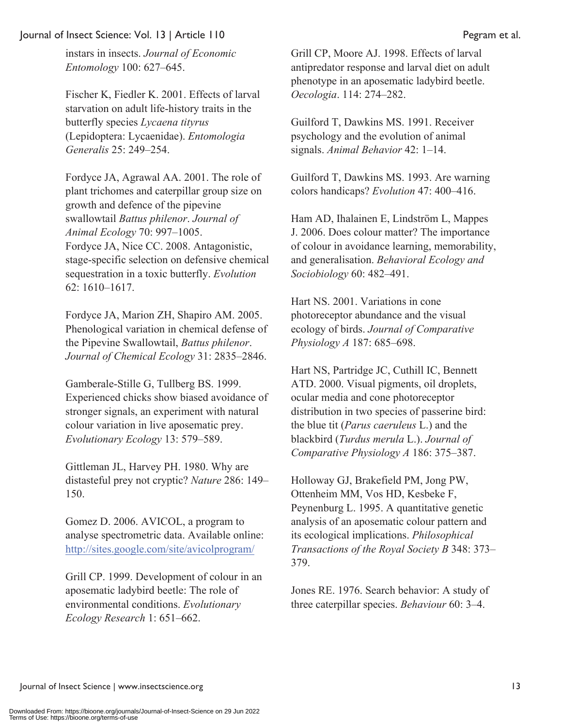instars in insects. *Journal of Economic Entomology* 100: 627–645.

Fischer K, Fiedler K. 2001. Effects of larval starvation on adult life-history traits in the butterfly species *Lycaena tityrus* (Lepidoptera: Lycaenidae). *Entomologia Generalis* 25: 249–254.

Fordyce JA, Agrawal AA. 2001. The role of plant trichomes and caterpillar group size on growth and defence of the pipevine swallowtail *Battus philenor*. *Journal of Animal Ecology* 70: 997–1005. Fordyce JA, Nice CC. 2008. Antagonistic, stage-specific selection on defensive chemical sequestration in a toxic butterfly. *Evolution*  62: 1610–1617.

Fordyce JA, Marion ZH, Shapiro AM. 2005. Phenological variation in chemical defense of the Pipevine Swallowtail, *Battus philenor*. *Journal of Chemical Ecology* 31: 2835–2846.

Gamberale-Stille G, Tullberg BS. 1999. Experienced chicks show biased avoidance of stronger signals, an experiment with natural colour variation in live aposematic prey. *Evolutionary Ecology* 13: 579–589.

Gittleman JL, Harvey PH. 1980. Why are distasteful prey not cryptic? *Nature* 286: 149– 150.

Gomez D. 2006. AVICOL, a program to analyse spectrometric data. Available online: http://sites.google.com/site/avicolprogram/

Grill CP. 1999. Development of colour in an aposematic ladybird beetle: The role of environmental conditions. *Evolutionary Ecology Research* 1: 651–662.

Grill CP, Moore AJ. 1998. Effects of larval antipredator response and larval diet on adult phenotype in an aposematic ladybird beetle. *Oecologia*. 114: 274–282.

Guilford T, Dawkins MS. 1991. Receiver psychology and the evolution of animal signals. *Animal Behavior* 42: 1–14.

Guilford T, Dawkins MS. 1993. Are warning colors handicaps? *Evolution* 47: 400–416.

Ham AD, Ihalainen E, Lindström L, Mappes J. 2006. Does colour matter? The importance of colour in avoidance learning, memorability, and generalisation. *Behavioral Ecology and Sociobiology* 60: 482–491.

Hart NS. 2001. Variations in cone photoreceptor abundance and the visual ecology of birds. *Journal of Comparative Physiology A* 187: 685–698.

Hart NS, Partridge JC, Cuthill IC, Bennett ATD. 2000. Visual pigments, oil droplets, ocular media and cone photoreceptor distribution in two species of passerine bird: the blue tit (*Parus caeruleus* L.) and the blackbird (*Turdus merula* L.). *Journal of Comparative Physiology A* 186: 375–387.

Holloway GJ, Brakefield PM, Jong PW, Ottenheim MM, Vos HD, Kesbeke F, Peynenburg L. 1995. A quantitative genetic analysis of an aposematic colour pattern and its ecological implications. *Philosophical Transactions of the Royal Society B* 348: 373– 379.

Jones RE. 1976. Search behavior: A study of three caterpillar species. *Behaviour* 60: 3–4.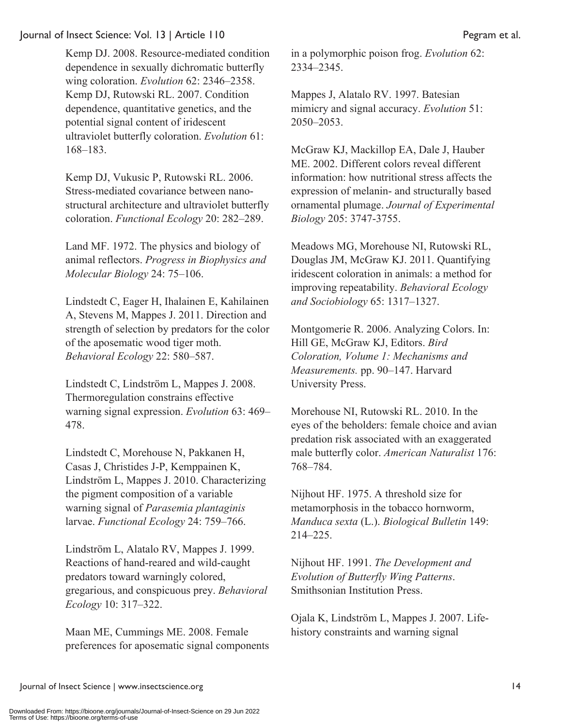Kemp DJ. 2008. Resource-mediated condition dependence in sexually dichromatic butterfly wing coloration. *Evolution* 62: 2346–2358. Kemp DJ, Rutowski RL. 2007. Condition dependence, quantitative genetics, and the potential signal content of iridescent ultraviolet butterfly coloration. *Evolution* 61: 168–183.

Kemp DJ, Vukusic P, Rutowski RL. 2006. Stress-mediated covariance between nanostructural architecture and ultraviolet butterfly coloration. *Functional Ecology* 20: 282–289.

Land MF. 1972. The physics and biology of animal reflectors. *Progress in Biophysics and Molecular Biology* 24: 75–106.

Lindstedt C, Eager H, Ihalainen E, Kahilainen A, Stevens M, Mappes J. 2011. Direction and strength of selection by predators for the color of the aposematic wood tiger moth. *Behavioral Ecology* 22: 580–587.

Lindstedt C, Lindström L, Mappes J. 2008. Thermoregulation constrains effective warning signal expression. *Evolution* 63: 469– 478.

Lindstedt C, Morehouse N, Pakkanen H, Casas J, Christides J-P, Kemppainen K, Lindström L, Mappes J. 2010. Characterizing the pigment composition of a variable warning signal of *Parasemia plantaginis* larvae. *Functional Ecology* 24: 759–766.

Lindstrӧm L, Alatalo RV, Mappes J. 1999. Reactions of hand-reared and wild-caught predators toward warningly colored, gregarious, and conspicuous prey. *Behavioral Ecology* 10: 317–322.

Maan ME, Cummings ME. 2008. Female preferences for aposematic signal components in a polymorphic poison frog. *Evolution* 62: 2334–2345.

Mappes J, Alatalo RV. 1997. Batesian mimicry and signal accuracy. *Evolution* 51: 2050–2053.

McGraw KJ, Mackillop EA, Dale J, Hauber ME. 2002. Different colors reveal different information: how nutritional stress affects the expression of melanin- and structurally based ornamental plumage. *Journal of Experimental Biology* 205: 3747-3755.

Meadows MG, Morehouse NI, Rutowski RL, Douglas JM, McGraw KJ. 2011. Quantifying iridescent coloration in animals: a method for improving repeatability. *Behavioral Ecology and Sociobiology* 65: 1317–1327.

Montgomerie R. 2006. Analyzing Colors. In: Hill GE, McGraw KJ, Editors. *Bird Coloration, Volume 1: Mechanisms and Measurements.* pp. 90–147. Harvard University Press.

Morehouse NI, Rutowski RL. 2010. In the eyes of the beholders: female choice and avian predation risk associated with an exaggerated male butterfly color. *American Naturalist* 176: 768–784.

Nijhout HF. 1975. A threshold size for metamorphosis in the tobacco hornworm, *Manduca sexta* (L.). *Biological Bulletin* 149: 214–225.

Nijhout HF. 1991. *The Development and Evolution of Butterfly Wing Patterns*. Smithsonian Institution Press.

Ojala K, Lindström L, Mappes J. 2007. Lifehistory constraints and warning signal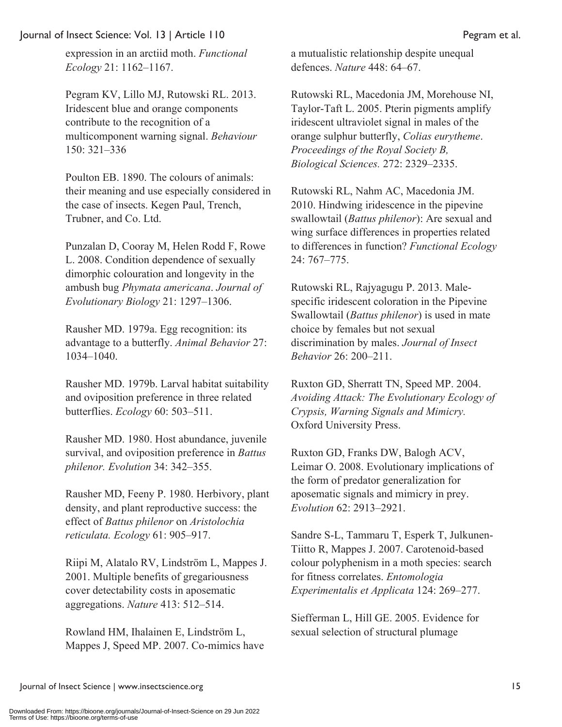expression in an arctiid moth. *Functional Ecology* 21: 1162–1167.

Pegram KV, Lillo MJ, Rutowski RL. 2013. Iridescent blue and orange components contribute to the recognition of a multicomponent warning signal. *Behaviour* 150: 321–336

Poulton EB. 1890. The colours of animals: their meaning and use especially considered in the case of insects. Kegen Paul, Trench, Trubner, and Co. Ltd.

Punzalan D, Cooray M, Helen Rodd F, Rowe L. 2008. Condition dependence of sexually dimorphic colouration and longevity in the ambush bug *Phymata americana*. *Journal of Evolutionary Biology* 21: 1297–1306.

Rausher MD. 1979a. Egg recognition: its advantage to a butterfly. *Animal Behavior* 27: 1034–1040.

Rausher MD. 1979b. Larval habitat suitability and oviposition preference in three related butterflies. *Ecology* 60: 503–511.

Rausher MD. 1980. Host abundance, juvenile survival, and oviposition preference in *Battus philenor. Evolution* 34: 342–355.

Rausher MD, Feeny P. 1980. Herbivory, plant density, and plant reproductive success: the effect of *Battus philenor* on *Aristolochia reticulata. Ecology* 61: 905–917.

Riipi M, Alatalo RV, Lindström L, Mappes J. 2001. Multiple benefits of gregariousness cover detectability costs in aposematic aggregations. *Nature* 413: 512–514.

Rowland HM, Ihalainen E, Lindström L, Mappes J, Speed MP. 2007. Co-mimics have a mutualistic relationship despite unequal defences. *Nature* 448: 64–67.

Rutowski RL, Macedonia JM, Morehouse NI, Taylor-Taft L. 2005. Pterin pigments amplify iridescent ultraviolet signal in males of the orange sulphur butterfly, *Colias eurytheme*. *Proceedings of the Royal Society B, Biological Sciences.* 272: 2329–2335.

Rutowski RL, Nahm AC, Macedonia JM. 2010. Hindwing iridescence in the pipevine swallowtail (*Battus philenor*): Are sexual and wing surface differences in properties related to differences in function? *Functional Ecology* 24: 767–775.

Rutowski RL, Rajyagugu P. 2013. Malespecific iridescent coloration in the Pipevine Swallowtail (*Battus philenor*) is used in mate choice by females but not sexual discrimination by males. *Journal of Insect Behavior* 26: 200–211.

Ruxton GD, Sherratt TN, Speed MP. 2004. *Avoiding Attack: The Evolutionary Ecology of Crypsis, Warning Signals and Mimicry.* Oxford University Press.

Ruxton GD, Franks DW, Balogh ACV, Leimar O. 2008. Evolutionary implications of the form of predator generalization for aposematic signals and mimicry in prey. *Evolution* 62: 2913–2921.

Sandre S-L, Tammaru T, Esperk T, Julkunen-Tiitto R, Mappes J. 2007. Carotenoid-based colour polyphenism in a moth species: search for fitness correlates. *Entomologia Experimentalis et Applicata* 124: 269–277.

Siefferman L, Hill GE. 2005. Evidence for sexual selection of structural plumage